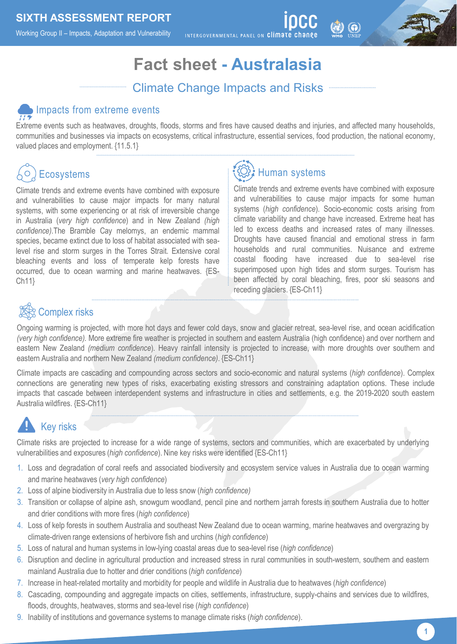Working Group II – Impacts, Adaptation and Vulnerability

INTERGOVERNMENTAL PANEL ON Climate

## **Fact sheet - Australasia**

### Climate Change Impacts and Risks

#### Impacts from extreme events

Extreme events such as heatwaves, droughts, floods, storms and fires have caused deaths and injuries, and affected many households, communities and businesses via impacts on ecosystems, critical infrastructure, essential services, food production, the national economy, valued places and employment. {11.5.1}

## **Ecosystems**

Climate trends and extreme events have combined with exposure and vulnerabilities to cause major impacts for many natural systems, with some experiencing or at risk of irreversible change in Australia (*very high confidence*) and in New Zealand *(high confidence).*The Bramble Cay melomys, an endemic mammal species, became extinct due to loss of habitat associated with sealevel rise and storm surges in the Torres Strait. Extensive coral bleaching events and loss of temperate kelp forests have occurred, due to ocean warming and marine heatwaves. {ES-Ch11}

# **Human systems**

Climate trends and extreme events have combined with exposure and vulnerabilities to cause major impacts for some human systems (*high confidence*). Socio-economic costs arising from climate variability and change have increased. Extreme heat has led to excess deaths and increased rates of many illnesses. Droughts have caused financial and emotional stress in farm households and rural communities. Nuisance and extreme coastal flooding have increased due to sea-level rise superimposed upon high tides and storm surges. Tourism has been affected by coral bleaching, fires, poor ski seasons and receding glaciers. {ES-Ch11}

### Complex risks

Ongoing warming is projected, with more hot days and fewer cold days, snow and glacier retreat, sea-level rise, and ocean acidification *(very high confidence).* More extreme fire weather is projected in southern and eastern Australia (high confidence) and over northern and eastern New Zealand *(medium confidence*). Heavy rainfall intensity is projected to increase, with more droughts over southern and eastern Australia and northern New Zealand *(medium confidence)*. {ES-Ch11}

Climate impacts are cascading and compounding across sectors and socio-economic and natural systems (*high confidence*). Complex connections are generating new types of risks, exacerbating existing stressors and constraining adaptation options. These include impacts that cascade between interdependent systems and infrastructure in cities and settlements, e.g. the 2019-2020 south eastern Australia wildfires. {ES-Ch11}

# Key risks

Climate risks are projected to increase for a wide range of systems, sectors and communities, which are exacerbated by underlying vulnerabilities and exposures (*high confidence*). Nine key risks were identified {ES-Ch11}

- 1. Loss and degradation of coral reefs and associated biodiversity and ecosystem service values in Australia due to ocean warming and marine heatwaves (*very high confidence*)
- 2. Loss of alpine biodiversity in Australia due to less snow (*high confidence)*
- 3. Transition or collapse of alpine ash, snowgum woodland, pencil pine and northern jarrah forests in southern Australia due to hotter and drier conditions with more fires (*high confidence*)
- 4. Loss of kelp forests in southern Australia and southeast New Zealand due to ocean warming, marine heatwaves and overgrazing by climate-driven range extensions of herbivore fish and urchins (*high confidence*)
- 5. Loss of natural and human systems in low-lying coastal areas due to sea-level rise (*high confidence*)
- 6. Disruption and decline in agricultural production and increased stress in rural communities in south-western, southern and eastern mainland Australia due to hotter and drier conditions (*high confidence*)
- 7. Increase in heat-related mortality and morbidity for people and wildlife in Australia due to heatwaves (*high confidence*)
- 8. Cascading, compounding and aggregate impacts on cities, settlements, infrastructure, supply-chains and services due to wildfires, floods, droughts, heatwaves, storms and sea-level rise (*high confidence*)
- 9. Inability of institutions and governance systems to manage climate risks (*high confidence*).